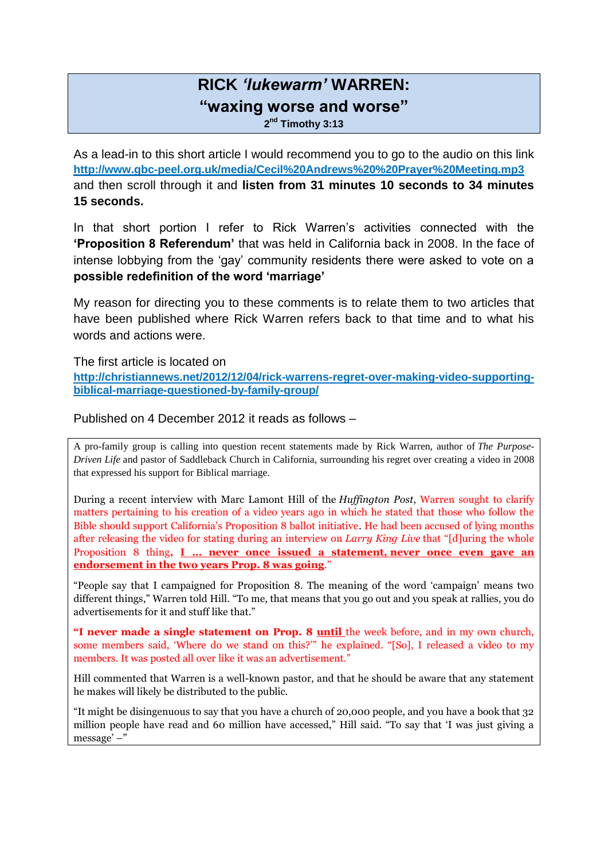## **RICK** *'lukewarm'* **WARREN: "waxing worse and worse"**

**2 nd Timothy 3:13**

As a lead-in to this short article I would recommend you to go to the audio on this link **<http://www.gbc-peel.org.uk/media/Cecil%20Andrews%20%20Prayer%20Meeting.mp3>** and then scroll through it and **listen from 31 minutes 10 seconds to 34 minutes 15 seconds.** 

In that short portion I refer to Rick Warren's activities connected with the **'Proposition 8 Referendum'** that was held in California back in 2008. In the face of intense lobbying from the 'gay' community residents there were asked to vote on a **possible redefinition of the word 'marriage'**

My reason for directing you to these comments is to relate them to two articles that have been published where Rick Warren refers back to that time and to what his words and actions were.

The first article is located on

**[http://christiannews.net/2012/12/04/rick-warrens-regret-over-making-video-supporting](http://christiannews.net/2012/12/04/rick-warrens-regret-over-making-video-supporting-biblical-marriage-questioned-by-family-group/)[biblical-marriage-questioned-by-family-group/](http://christiannews.net/2012/12/04/rick-warrens-regret-over-making-video-supporting-biblical-marriage-questioned-by-family-group/)**

Published on 4 December 2012 it reads as follows –

A pro-family group is calling into question recent statements made by Rick Warren, author of *The Purpose-Driven Life* and pastor of Saddleback Church in California, surrounding his regret over creating a video in 2008 that expressed his support for Biblical marriage.

During a recent interview with Marc Lamont Hill of the *Huffington Post*, Warren sought to clarify matters pertaining to his creation of a video years ago in which he stated that those who follow the Bible should support California's Proposition 8 ballot initiative. He had been accused of lying months after releasing the video for stating during an interview on *Larry King Live* that "[d]uring the whole Proposition 8 thing**, I … never once issued a statement, never once even gave an endorsement in the two years Prop. 8 was going**."

"People say that I campaigned for Proposition 8. The meaning of the word 'campaign' means two different things," Warren told Hill. "To me, that means that you go out and you speak at rallies, you do advertisements for it and stuff like that."

**"I never made a single statement on Prop. 8 until** the week before, and in my own church, some members said, 'Where do we stand on this?'" he explained. "[So], I released a video to my members. It was posted all over like it was an advertisement."

Hill commented that Warren is a well-known pastor, and that he should be aware that any statement he makes will likely be distributed to the public.

"It might be disingenuous to say that you have a church of 20,000 people, and you have a book that 32 million people have read and 60 million have accessed," Hill said. "To say that 'I was just giving a message' –"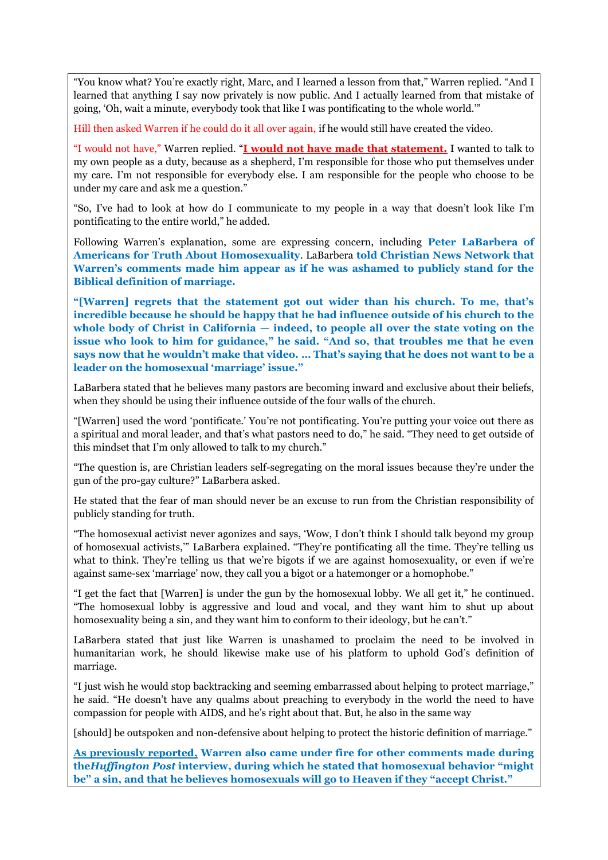"You know what? You're exactly right, Marc, and I learned a lesson from that," Warren replied. "And I learned that anything I say now privately is now public. And I actually learned from that mistake of going, 'Oh, wait a minute, everybody took that like I was pontificating to the whole world.'"

Hill then asked Warren if he could do it all over again, if he would still have created the video.

"I would not have," Warren replied. "**I would not have made that statement.** I wanted to talk to my own people as a duty, because as a shepherd, I'm responsible for those who put themselves under my care. I'm not responsible for everybody else. I am responsible for the people who choose to be under my care and ask me a question."

"So, I've had to look at how do I communicate to my people in a way that doesn't look like I'm pontificating to the entire world," he added.

Following Warren's explanation, some are expressing concern, including **Peter LaBarbera of Americans for Truth About Homosexuality**. LaBarbera **told Christian News Network that Warren's comments made him appear as if he was ashamed to publicly stand for the Biblical definition of marriage.**

**"[Warren] regrets that the statement got out wider than his church. To me, that's incredible because he should be happy that he had influence outside of his church to the whole body of Christ in California — indeed, to people all over the state voting on the issue who look to him for guidance," he said. "And so, that troubles me that he even says now that he wouldn't make that video. … That's saying that he does not want to be a leader on the homosexual 'marriage' issue."**

LaBarbera stated that he believes many pastors are becoming inward and exclusive about their beliefs, when they should be using their influence outside of the four walls of the church.

"[Warren] used the word 'pontificate.' You're not pontificating. You're putting your voice out there as a spiritual and moral leader, and that's what pastors need to do," he said. "They need to get outside of this mindset that I'm only allowed to talk to my church."

"The question is, are Christian leaders self-segregating on the moral issues because they're under the gun of the pro-gay culture?" LaBarbera asked.

He stated that the fear of man should never be an excuse to run from the Christian responsibility of publicly standing for truth.

"The homosexual activist never agonizes and says, 'Wow, I don't think I should talk beyond my group of homosexual activists,'" LaBarbera explained. "They're pontificating all the time. They're telling us what to think. They're telling us that we're bigots if we are against homosexuality, or even if we're against same-sex 'marriage' now, they call you a bigot or a hatemonger or a homophobe."

"I get the fact that [Warren] is under the gun by the homosexual lobby. We all get it," he continued. "The homosexual lobby is aggressive and loud and vocal, and they want him to shut up about homosexuality being a sin, and they want him to conform to their ideology, but he can't."

LaBarbera stated that just like Warren is unashamed to proclaim the need to be involved in humanitarian work, he should likewise make use of his platform to uphold God's definition of marriage.

"I just wish he would stop backtracking and seeming embarrassed about helping to protect marriage," he said. "He doesn't have any qualms about preaching to everybody in the world the need to have compassion for people with AIDS, and he's right about that. But, he also in the same way

[should] be outspoken and non-defensive about helping to protect the historic definition of marriage."

**As previously reported, Warren also came under fire for other comments made during the***Huffington Post* **interview, during which he stated that homosexual behavior "might be" a sin, and that he believes homosexuals will go to Heaven if they "accept Christ."**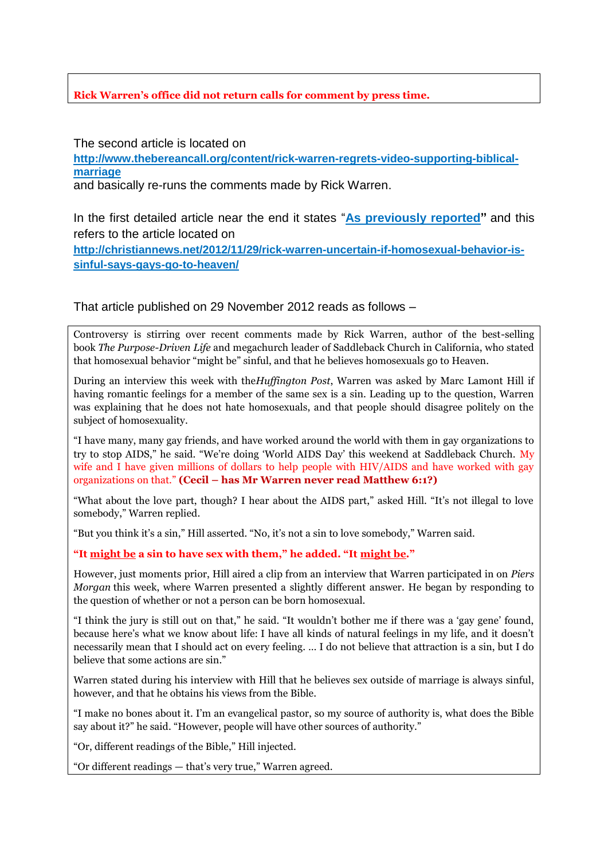## **Rick Warren's office did not return calls for comment by press time.**

The second article is located on

**[http://www.thebereancall.org/content/rick-warren-regrets-video-supporting-biblical](http://www.thebereancall.org/content/rick-warren-regrets-video-supporting-biblical-marriage)[marriage](http://www.thebereancall.org/content/rick-warren-regrets-video-supporting-biblical-marriage)**

and basically re-runs the comments made by Rick Warren.

In the first detailed article near the end it states "**As previously reported"** and this refers to the article located on

**[http://christiannews.net/2012/11/29/rick-warren-uncertain-if-homosexual-behavior-is](http://christiannews.net/2012/11/29/rick-warren-uncertain-if-homosexual-behavior-is-sinful-says-gays-go-to-heaven/)[sinful-says-gays-go-to-heaven/](http://christiannews.net/2012/11/29/rick-warren-uncertain-if-homosexual-behavior-is-sinful-says-gays-go-to-heaven/)**

That article published on 29 November 2012 reads as follows –

Controversy is stirring over recent comments made by Rick Warren, author of the best-selling book *The Purpose-Driven Life* and megachurch leader of Saddleback Church in California, who stated that homosexual behavior "might be" sinful, and that he believes homosexuals go to Heaven.

During an interview this week with the*Huffington Post*, Warren was asked by Marc Lamont Hill if having romantic feelings for a member of the same sex is a sin. Leading up to the question, Warren was explaining that he does not hate homosexuals, and that people should disagree politely on the subject of homosexuality.

"I have many, many gay friends, and have worked around the world with them in gay organizations to try to stop AIDS," he said. "We're doing 'World AIDS Day' this weekend at Saddleback Church. My wife and I have given millions of dollars to help people with HIV/AIDS and have worked with gay organizations on that." **(Cecil – has Mr Warren never read Matthew 6:1?)**

"What about the love part, though? I hear about the AIDS part," asked Hill. "It's not illegal to love somebody," Warren replied.

"But you think it's a sin," Hill asserted. "No, it's not a sin to love somebody," Warren said.

**"It might be a sin to have sex with them," he added. "It might be."**

However, just moments prior, Hill aired a clip from an interview that Warren participated in on *Piers Morgan* this week, where Warren presented a slightly different answer. He began by responding to the question of whether or not a person can be born homosexual.

"I think the jury is still out on that," he said. "It wouldn't bother me if there was a 'gay gene' found, because here's what we know about life: I have all kinds of natural feelings in my life, and it doesn't necessarily mean that I should act on every feeling. … I do not believe that attraction is a sin, but I do believe that some actions are sin."

Warren stated during his interview with Hill that he believes sex outside of marriage is always sinful, however, and that he obtains his views from the Bible.

"I make no bones about it. I'm an evangelical pastor, so my source of authority is, what does the Bible say about it?" he said. "However, people will have other sources of authority."

"Or, different readings of the Bible," Hill injected.

"Or different readings — that's very true," Warren agreed.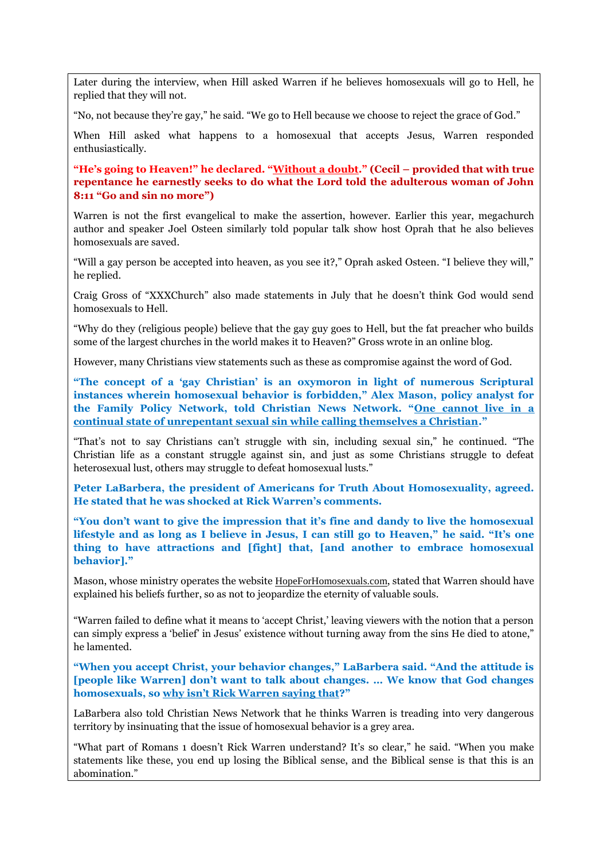Later during the interview, when Hill asked Warren if he believes homosexuals will go to Hell, he replied that they will not.

"No, not because they're gay," he said. "We go to Hell because we choose to reject the grace of God."

When Hill asked what happens to a homosexual that accepts Jesus, Warren responded enthusiastically.

**"He's going to Heaven!" he declared. "Without a doubt." (Cecil – provided that with true repentance he earnestly seeks to do what the Lord told the adulterous woman of John 8:11 "Go and sin no more")**

Warren is not the first evangelical to make the assertion, however. Earlier this year, megachurch author and speaker Joel Osteen similarly told popular talk show host Oprah that he also believes homosexuals are saved.

"Will a gay person be accepted into heaven, as you see it?," Oprah asked Osteen. "I believe they will," he replied.

Craig Gross of "XXXChurch" also made statements in July that he doesn't think God would send homosexuals to Hell.

"Why do they (religious people) believe that the gay guy goes to Hell, but the fat preacher who builds some of the largest churches in the world makes it to Heaven?" Gross wrote in an online blog.

However, many Christians view statements such as these as compromise against the word of God.

**"The concept of a 'gay Christian' is an oxymoron in light of numerous Scriptural instances wherein homosexual behavior is forbidden," Alex Mason, policy analyst for the Family Policy Network, told Christian News Network. "One cannot live in a continual state of unrepentant sexual sin while calling themselves a Christian."**

"That's not to say Christians can't struggle with sin, including sexual sin," he continued. "The Christian life as a constant struggle against sin, and just as some Christians struggle to defeat heterosexual lust, others may struggle to defeat homosexual lusts."

**Peter LaBarbera, the president of Americans for Truth About Homosexuality, agreed. He stated that he was shocked at Rick Warren's comments.**

**"You don't want to give the impression that it's fine and dandy to live the homosexual lifestyle and as long as I believe in Jesus, I can still go to Heaven," he said. "It's one thing to have attractions and [fight] that, [and another to embrace homosexual behavior]."**

Mason, whose ministry operates the website [HopeForHomosexuals.com](http://www.hopeforhomosexuals.com/), stated that Warren should have explained his beliefs further, so as not to jeopardize the eternity of valuable souls.

"Warren failed to define what it means to 'accept Christ,' leaving viewers with the notion that a person can simply express a 'belief' in Jesus' existence without turning away from the sins He died to atone," he lamented.

**"When you accept Christ, your behavior changes," LaBarbera said. "And the attitude is [people like Warren] don't want to talk about changes. … We know that God changes homosexuals, so why isn't Rick Warren saying that?"**

LaBarbera also told Christian News Network that he thinks Warren is treading into very dangerous territory by insinuating that the issue of homosexual behavior is a grey area.

"What part of Romans 1 doesn't Rick Warren understand? It's so clear," he said. "When you make statements like these, you end up losing the Biblical sense, and the Biblical sense is that this is an abomination."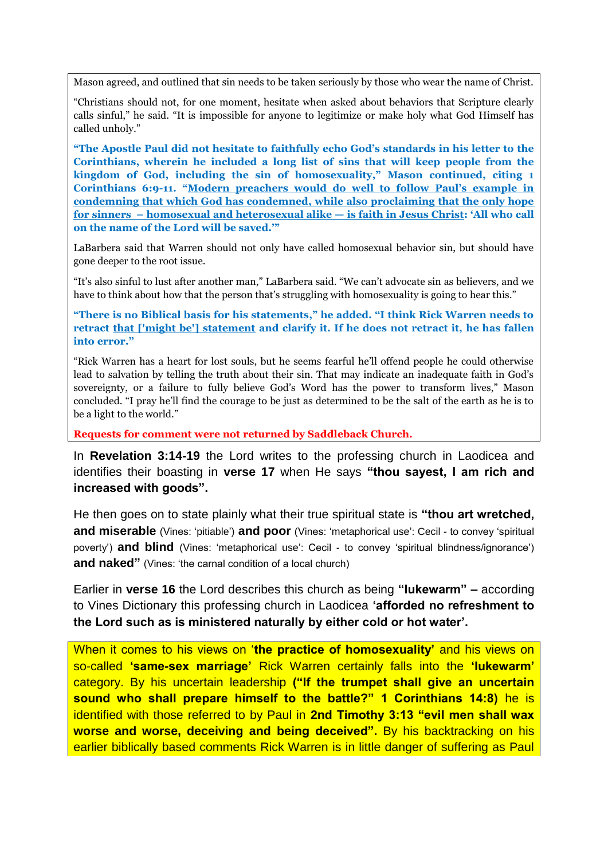Mason agreed, and outlined that sin needs to be taken seriously by those who wear the name of Christ.

"Christians should not, for one moment, hesitate when asked about behaviors that Scripture clearly calls sinful," he said. "It is impossible for anyone to legitimize or make holy what God Himself has called unholy."

**"The Apostle Paul did not hesitate to faithfully echo God's standards in his letter to the Corinthians, wherein he included a long list of sins that will keep people from the kingdom of God, including the sin of homosexuality," Mason continued, citing 1 Corinthians 6:9-11. "Modern preachers would do well to follow Paul's example in condemning that which God has condemned, while also proclaiming that the only hope for sinners – homosexual and heterosexual alike — is faith in Jesus Christ: 'All who call on the name of the Lord will be saved.'"**

LaBarbera said that Warren should not only have called homosexual behavior sin, but should have gone deeper to the root issue.

"It's also sinful to lust after another man," LaBarbera said. "We can't advocate sin as believers, and we have to think about how that the person that's struggling with homosexuality is going to hear this."

**"There is no Biblical basis for his statements," he added. "I think Rick Warren needs to retract that ['might be'] statement and clarify it. If he does not retract it, he has fallen into error."**

"Rick Warren has a heart for lost souls, but he seems fearful he'll offend people he could otherwise lead to salvation by telling the truth about their sin. That may indicate an inadequate faith in God's sovereignty, or a failure to fully believe God's Word has the power to transform lives," Mason concluded. "I pray he'll find the courage to be just as determined to be the salt of the earth as he is to be a light to the world."

**Requests for comment were not returned by Saddleback Church.**

In **Revelation 3:14-19** the Lord writes to the professing church in Laodicea and identifies their boasting in **verse 17** when He says **"thou sayest, I am rich and increased with goods".** 

He then goes on to state plainly what their true spiritual state is **"thou art wretched, and miserable** (Vines: 'pitiable') **and poor** (Vines: 'metaphorical use': Cecil - to convey 'spiritual poverty') **and blind** (Vines: 'metaphorical use': Cecil - to convey 'spiritual blindness/ignorance') **and naked"** (Vines: 'the carnal condition of a local church)

Earlier in **verse 16** the Lord describes this church as being **"lukewarm" –** according to Vines Dictionary this professing church in Laodicea **'afforded no refreshment to the Lord such as is ministered naturally by either cold or hot water'.**

When it comes to his views on '**the practice of homosexuality'** and his views on so-called **'same-sex marriage'** Rick Warren certainly falls into the **'lukewarm'**  category. By his uncertain leadership **("If the trumpet shall give an uncertain sound who shall prepare himself to the battle?" 1 Corinthians 14:8)** he is identified with those referred to by Paul in **2nd Timothy 3:13 "evil men shall wax worse and worse, deceiving and being deceived".** By his backtracking on his earlier biblically based comments Rick Warren is in little danger of suffering as Paul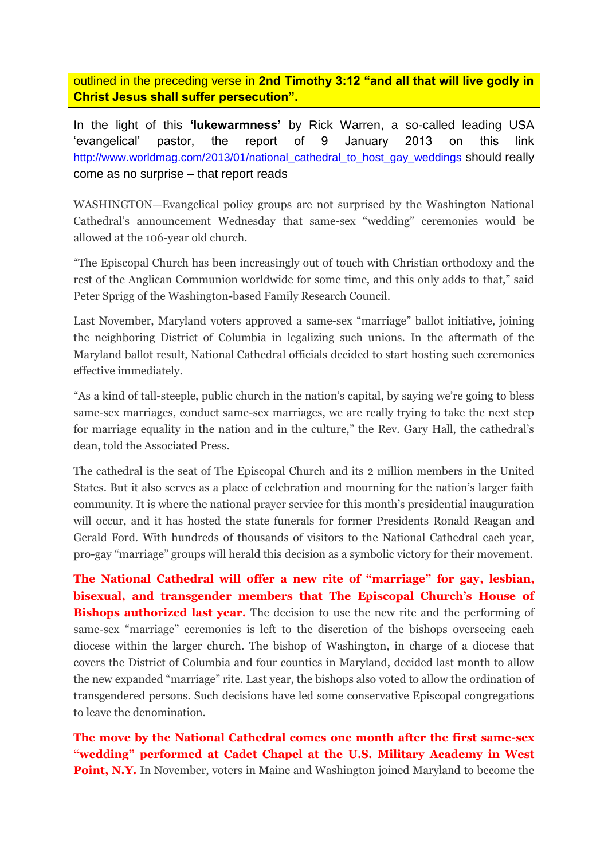outlined in the preceding verse in **2nd Timothy 3:12 "and all that will live godly in Christ Jesus shall suffer persecution".**

In the light of this **'lukewarmness'** by Rick Warren, a so-called leading USA 'evangelical' pastor, the report of 9 January 2013 on this link [http://www.worldmag.com/2013/01/national\\_cathedral\\_to\\_host\\_gay\\_weddings](http://www.worldmag.com/2013/01/national_cathedral_to_host_gay_weddings) should really come as no surprise – that report reads

WASHINGTON—Evangelical policy groups are not surprised by the Washington National Cathedral's announcement Wednesday that same-sex "wedding" ceremonies would be allowed at the 106-year old church.

"The Episcopal Church has been increasingly out of touch with Christian orthodoxy and the rest of the Anglican Communion worldwide for some time, and this only adds to that," said Peter Sprigg of the Washington-based Family Research Council.

Last November, Maryland voters approved a same-sex "marriage" ballot initiative, joining the neighboring District of Columbia in legalizing such unions. In the aftermath of the Maryland ballot result, National Cathedral officials decided to start hosting such ceremonies effective immediately.

"As a kind of tall-steeple, public church in the nation's capital, by saying we're going to bless same-sex marriages, conduct same-sex marriages, we are really trying to take the next step for marriage equality in the nation and in the culture," the Rev. Gary Hall, the cathedral's dean, told the Associated Press.

The cathedral is the seat of The Episcopal Church and its 2 million members in the United States. But it also serves as a place of celebration and mourning for the nation's larger faith community. It is where the national prayer service for this month's presidential inauguration will occur, and it has hosted the state funerals for former Presidents Ronald Reagan and Gerald Ford. With hundreds of thousands of visitors to the National Cathedral each year, pro-gay "marriage" groups will herald this decision as a symbolic victory for their movement.

**The National Cathedral will offer a new rite of "marriage" for gay, lesbian, bisexual, and transgender members that The Episcopal Church's House of Bishops authorized last year.** The decision to use the new rite and the performing of same-sex "marriage" ceremonies is left to the discretion of the bishops overseeing each diocese within the larger church. The bishop of Washington, in charge of a diocese that covers the District of Columbia and four counties in Maryland, decided last month to allow the new expanded "marriage" rite. Last year, the bishops also voted to allow the ordination of transgendered persons. Such decisions have led some conservative Episcopal congregations to leave the denomination.

**The move by the National Cathedral comes one month after the first same-sex "wedding" performed at Cadet Chapel at the U.S. Military Academy in West Point, N.Y.** In November, voters in Maine and Washington joined Maryland to become the